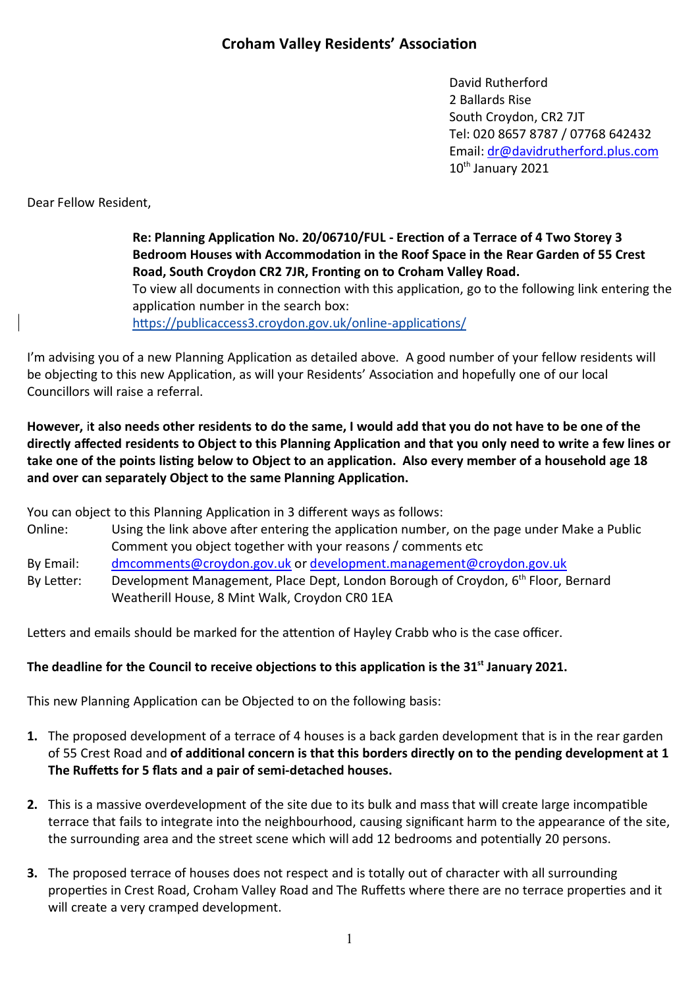David Rutherford 2 Ballards Rise South Croydon, CR2 7JT Tel: 020 8657 8787 / 07768 642432 Email: dr@davidrutherford.plus.com 10<sup>th</sup> January 2021

Dear Fellow Resident,

Re: Planning Application No. 20/06710/FUL - Erection of a Terrace of 4 Two Storey 3 Bedroom Houses with Accommodation in the Roof Space in the Rear Garden of 55 Crest Road, South Croydon CR2 7JR, Fronting on to Croham Valley Road. To view all documents in connection with this application, go to the following link entering the

application number in the search box:

https://publicaccess3.croydon.gov.uk/online-applications/

I'm advising you of a new Planning Application as detailed above. A good number of your fellow residents will be objecting to this new Application, as will your Residents' Association and hopefully one of our local Councillors will raise a referral.

**However,** i**t also needs other residents to do the same, I would add that you do not have to be one of the**  directly affected residents to Object to this Planning Application and that you only need to write a few lines or take one of the points listing below to Object to an application. Also every member of a household age 18 and over can separately Object to the same Planning Application.

You can object to this Planning Application in 3 different ways as follows:

- Online: Using the link above after entering the application number, on the page under Make a Public Comment you object together with your reasons / comments etc
- By Email: dmcomments@croydon.gov.uk or development.management@croydon.gov.uk

By Letter: Development Management, Place Dept, London Borough of Croydon, 6<sup>th</sup> Floor, Bernard Weatherill House, 8 Mint Walk, Croydon CR0 1EA

Letters and emails should be marked for the attention of Hayley Crabb who is the case officer.

## The deadline for the Council to receive objections to this application is the 31<sup>st</sup> January 2021.

This new Planning Application can be Objected to on the following basis:

- **1.** The proposed development of a terrace of 4 houses is a back garden development that is in the rear garden of 55 Crest Road and **of addional concern is that this borders directly on to the pending development at 1**  The Ruffetts for 5 flats and a pair of semi-detached houses.
- **2.** This is a massive overdevelopment of the site due to its bulk and mass that will create large incompatible terrace that fails to integrate into the neighbourhood, causing significant harm to the appearance of the site, the surrounding area and the street scene which will add 12 bedrooms and potentially 20 persons.
- **3.** The proposed terrace of houses does not respect and is totally out of character with all surrounding properties in Crest Road, Croham Valley Road and The Ruffetts where there are no terrace properties and it will create a very cramped development.